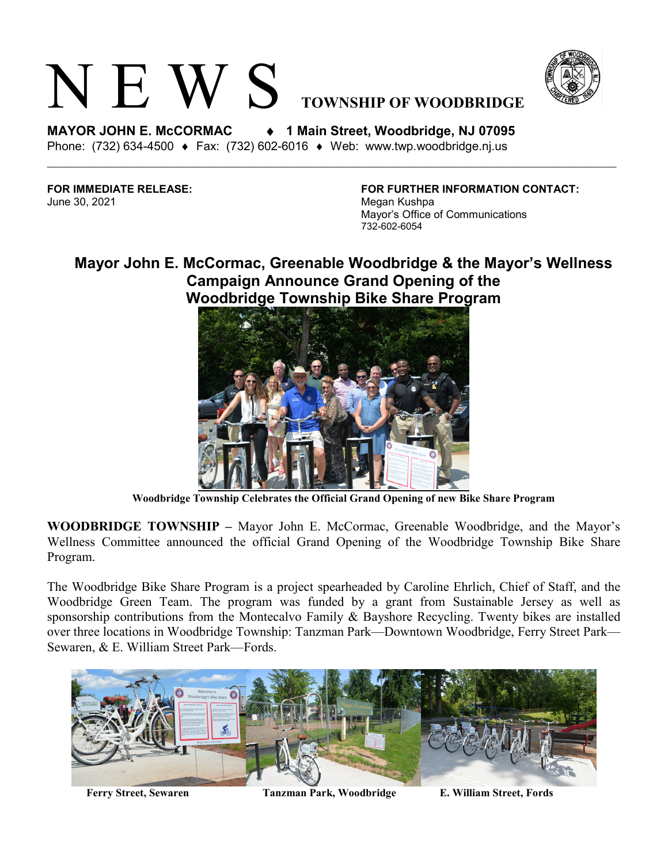



**MAYOR JOHN E. McCORMAC** ♦ **1 Main Street, Woodbridge, NJ 07095**  Phone: (732) 634-4500 ♦ Fax: (732) 602-6016 ♦ Web: www.twp.woodbridge.nj.us

June 30, 2021 Megan Kushpa

**FOR IMMEDIATE RELEASE: FOR FURTHER INFORMATION CONTACT:** Mayor's Office of Communications 732-602-6054

## **Mayor John E. McCormac, Greenable Woodbridge & the Mayor's Wellness Campaign Announce Grand Opening of the Woodbridge Township Bike Share Program**



**Woodbridge Township Celebrates the Official Grand Opening of new Bike Share Program**

**WOODBRIDGE TOWNSHIP –** Mayor John E. McCormac, Greenable Woodbridge, and the Mayor's Wellness Committee announced the official Grand Opening of the Woodbridge Township Bike Share Program.

The Woodbridge Bike Share Program is a project spearheaded by Caroline Ehrlich, Chief of Staff, and the Woodbridge Green Team. The program was funded by a grant from Sustainable Jersey as well as sponsorship contributions from the Montecalvo Family & Bayshore Recycling. Twenty bikes are installed over three locations in Woodbridge Township: Tanzman Park—Downtown Woodbridge, Ferry Street Park— Sewaren, & E. William Street Park—Fords.



**Ferry Street, Sewaren Tanzman Park, Woodbridge E. William Street, Fords**